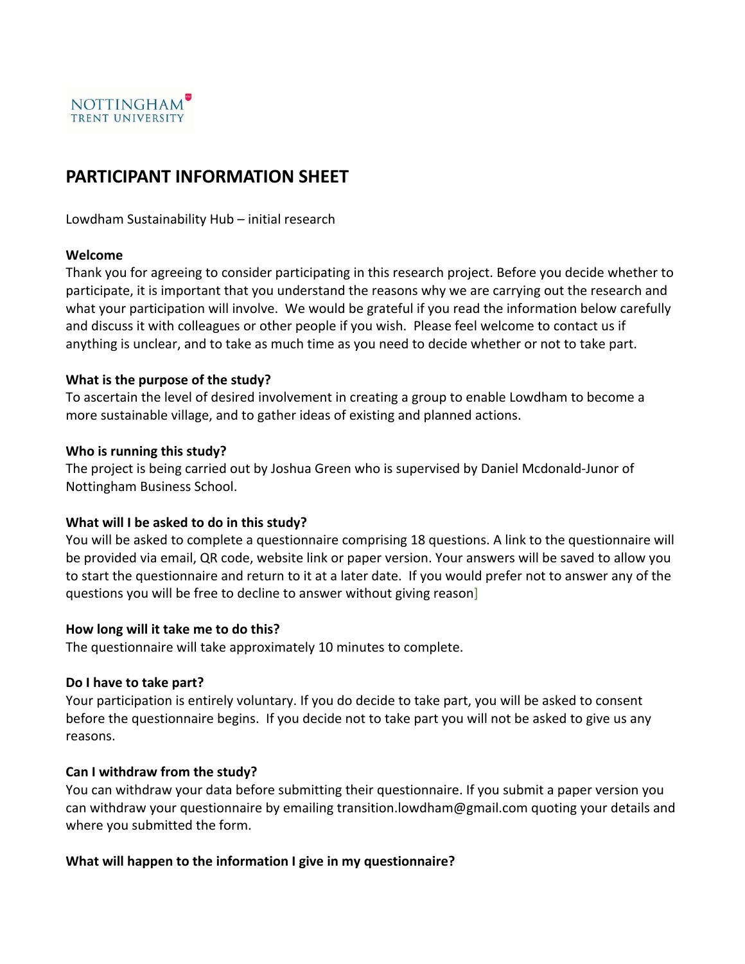

## **PARTICIPANT INFORMATION SHEET**

Lowdham Sustainability Hub – initial research

#### **Welcome**

Thank you for agreeing to consider participating in this research project. Before you decide whether to participate, it is important that you understand the reasons why we are carrying out the research and what your participation will involve. We would be grateful if you read the information below carefully and discuss it with colleagues or other people if you wish. Please feel welcome to contact us if anything is unclear, and to take as much time as you need to decide whether or not to take part.

### **What is the purpose of the study?**

To ascertain the level of desired involvement in creating a group to enable Lowdham to become a more sustainable village, and to gather ideas of existing and planned actions.

#### **Who is running this study?**

The project is being carried out by Joshua Green who is supervised by Daniel Mcdonald-Junor of Nottingham Business School.

### **What will I be asked to do in this study?**

You will be asked to complete a questionnaire comprising 18 questions. A link to the questionnaire will be provided via email, QR code, website link or paper version. Your answers will be saved to allow you to start the questionnaire and return to it at a later date. If you would prefer not to answer any of the questions you will be free to decline to answer without giving reason]

#### **How long will it take me to do this?**

The questionnaire will take approximately 10 minutes to complete.

### **Do I have to take part?**

Your participation is entirely voluntary. If you do decide to take part, you will be asked to consent before the questionnaire begins. If you decide not to take part you will not be asked to give us any reasons.

#### **Can I withdraw from the study?**

You can withdraw your data before submitting their questionnaire. If you submit a paper version you can withdraw your questionnaire by emailing transition.lowdham@gmail.com quoting your details and where you submitted the form.

### **What will happen to the information I give in my questionnaire?**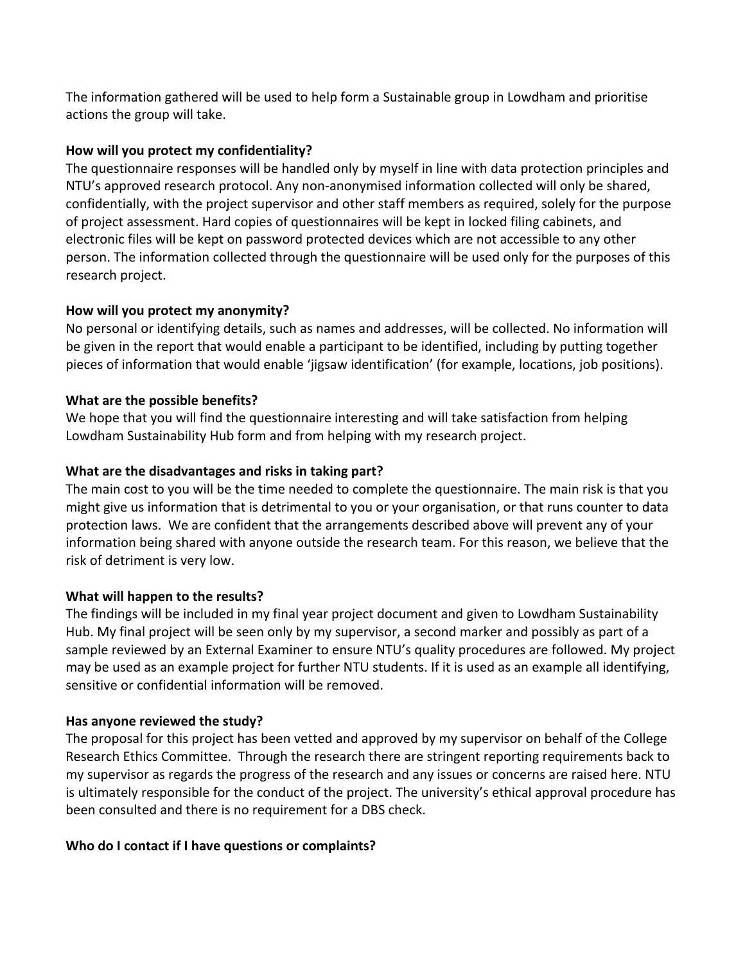The information gathered will be used to help form a Sustainable group in Lowdham and prioritise actions the group will take.

## **How will you protect my confidentiality?**

The questionnaire responses will be handled only by myself in line with data protection principles and NTU's approved research protocol. Any non-anonymised information collected will only be shared, confidentially, with the project supervisor and other staff members as required, solely for the purpose of project assessment. Hard copies of questionnaires will be kept in locked filing cabinets, and electronic files will be kept on password protected devices which are not accessible to any other person. The information collected through the questionnaire will be used only for the purposes of this research project.

## **How will you protect my anonymity?**

No personal or identifying details, such as names and addresses, will be collected. No information will be given in the report that would enable a participant to be identified, including by putting together pieces of information that would enable 'jigsaw identification' (for example, locations, job positions).

## **What are the possible benefits?**

We hope that you will find the questionnaire interesting and will take satisfaction from helping Lowdham Sustainability Hub form and from helping with my research project.

## **What are the disadvantages and risks in taking part?**

The main cost to you will be the time needed to complete the questionnaire. The main risk is that you might give us information that is detrimental to you or your organisation, or that runs counter to data protection laws. We are confident that the arrangements described above will prevent any of your information being shared with anyone outside the research team. For this reason, we believe that the risk of detriment is very low.

## **What will happen to the results?**

The findings will be included in my final year project document and given to Lowdham Sustainability Hub. My final project will be seen only by my supervisor, a second marker and possibly as part of a sample reviewed by an External Examiner to ensure NTU's quality procedures are followed. My project may be used as an example project for further NTU students. If it is used as an example all identifying, sensitive or confidential information will be removed.

## **Has anyone reviewed the study?**

The proposal for this project has been vetted and approved by my supervisor on behalf of the College Research Ethics Committee. Through the research there are stringent reporting requirements back to my supervisor as regards the progress of the research and any issues or concerns are raised here. NTU is ultimately responsible for the conduct of the project. The university's ethical approval procedure has been consulted and there is no requirement for a DBS check.

## **Who do I contact if I have questions or complaints?**